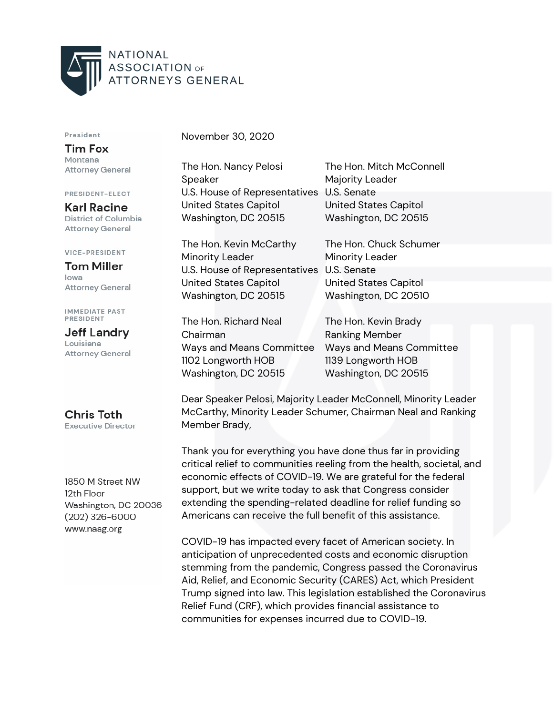

## President

**Tim Fox** Montana **Attorney General** 

PRESIDENT-ELECT

**Karl Racine** District of Columbia **Attorney General** 

## **VICE-PRESIDENT**

**Tom Miller** lowa **Attorney General** 

**IMMEDIATE PAST PRESIDENT** 

**Jeff Landry** Louisiana **Attorney General** 

**Chris Toth Executive Director** 

1850 M Street NW 12th Floor Washington, DC 20036  $(202)$  326-6000 www.naag.org

November 30, 2020

The Hon. Nancy Pelosi The Hon. Mitch McConnell Speaker Majority Leader U.S. House of Representatives U.S. Senate United States Capitol United States Capitol Washington, DC 20515 Washington, DC 20515

The Hon. Kevin McCarthy The Hon. Chuck Schumer Minority Leader **Minority Leader** U.S. House of Representatives U.S. Senate United States Capitol United States Capitol Washington, DC 20515 Washington, DC 20510

The Hon. Richard Neal The Hon. Kevin Brady Chairman **Ranking Member** 1102 Longworth HOB 1139 Longworth HOB Washington, DC 20515 Washington, DC 20515

Ways and Means Committee Ways and Means Committee

Dear Speaker Pelosi, Majority Leader McConnell, Minority Leader McCarthy, Minority Leader Schumer, Chairman Neal and Ranking Member Brady,

Thank you for everything you have done thus far in providing critical relief to communities reeling from the health, societal, and economic effects of COVID-19. We are grateful for the federal support, but we write today to ask that Congress consider extending the spending-related deadline for relief funding so Americans can receive the full benefit of this assistance.

COVID-19 has impacted every facet of American society. In anticipation of unprecedented costs and economic disruption stemming from the pandemic, Congress passed the Coronavirus Aid, Relief, and Economic Security (CARES) Act, which President Trump signed into law. This legislation established the Coronavirus Relief Fund (CRF), which provides financial assistance to communities for expenses incurred due to COVID-19.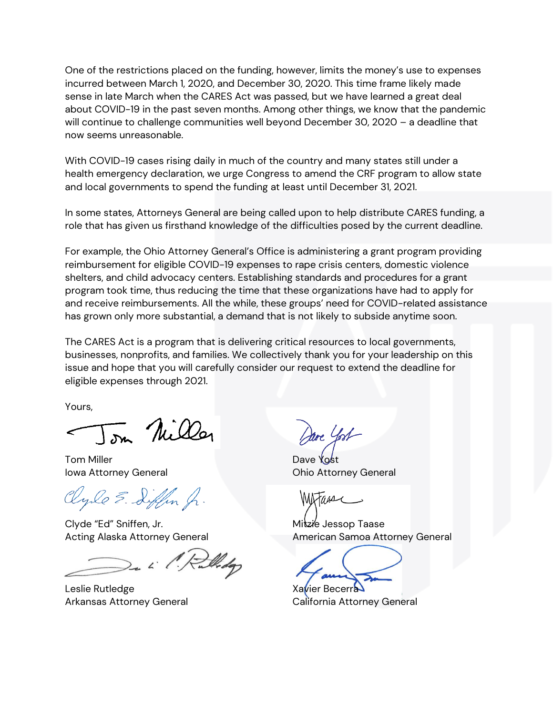One of the restrictions placed on the funding, however, limits the money's use to expenses incurred between March 1, 2020, and December 30, 2020. This time frame likely made sense in late March when the CARES Act was passed, but we have learned a great deal about COVID-19 in the past seven months. Among other things, we know that the pandemic will continue to challenge communities well beyond December 30, 2020 – a deadline that now seems unreasonable.

With COVID-19 cases rising daily in much of the country and many states still under a health emergency declaration, we urge Congress to amend the CRF program to allow state and local governments to spend the funding at least until December 31, 2021.

In some states, Attorneys General are being called upon to help distribute CARES funding, a role that has given us firsthand knowledge of the difficulties posed by the current deadline.

For example, the Ohio Attorney General's Office is administering a grant program providing reimbursement for eligible COVID-19 expenses to rape crisis centers, domestic violence shelters, and child advocacy centers. Establishing standards and procedures for a grant program took time, thus reducing the time that these organizations have had to apply for and receive reimbursements. All the while, these groups' need for COVID-related assistance has grown only more substantial, a demand that is not likely to subside anytime soon.

The CARES Act is a program that is delivering critical resources to local governments, businesses, nonprofits, and families. We collectively thank you for your leadership on this issue and hope that you will carefully consider our request to extend the deadline for eligible expenses through 2021.

Yours,

on Nille

Tom Miller **Dave Yost** Iowa Attorney General **Internal Communist Communist Communist Communist Communist Communist Communist Communist Communist Communist Communist Communist Communist Communist Communist Communist Communist Communist Communist** 

Clyle E. Siffen fr.

Clyde "Ed" Sniffen, Jr. Mitzie Jessop Taase

Leslie Rutledge Xavier Becerra

rre Yost

Acting Alaska Attorney General **American Samoa Attorney General** Acting Alaska Attorney General

Arkansas Attorney General California Attorney General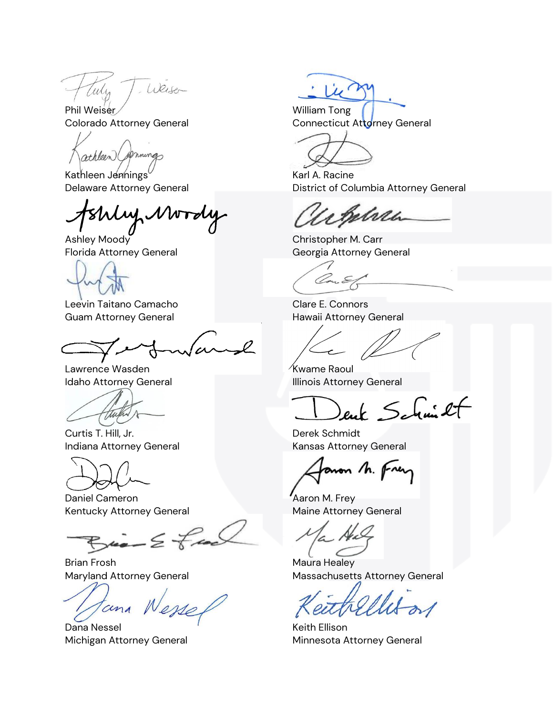Weiser Celly

athleen (Springs

Kathleen Jennings Karl A. Racine

Ashley Moody **Christopher M. Carr** 

Leevin Taitano Camacho Charles Clare E. Connors Guam Attorney General **Hawaii Attorney General** 

Lawrence Wasden **Kwame Raoul** 

thepre

Curtis T. Hill, Jr. Derek Schmidt

Daniel Cameron **Account Cameron** Aaron M. Frey Kentucky Attorney General Maine Attorney General

 $x = \Sigma +$ 

Brian Frosh **Maura Healey** 

cina

Dana Nessel **Manufath Communist Communist Communist Communist Communist Communist Communist Communist Communist Communist Communist Communist Communist Communist Communist Communist Communist Communist Communist Communist** 

Phil Weiser Colorado Attorney General Connecticut Attorney General

Delaware Attorney General **District of Columbia Attorney General** 

Belreh

Florida Attorney General Georgia Attorney General

Con E

Idaho Attorney General **Illinois Attorney General** 

enk Schmilt

Indiana Attorney General **Kansas Attorney General** 

aron h. Fren

Maryland Attorney General Massachusetts Attorney General

Michigan Attorney General **Minnesota Attorney General**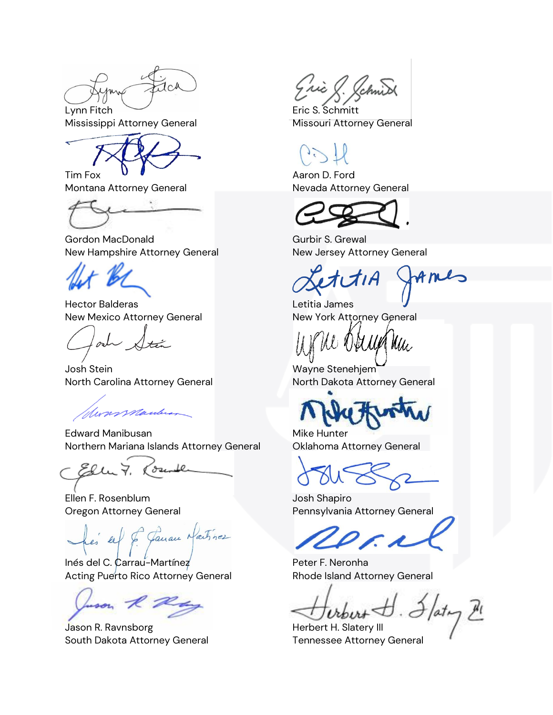$1c<sub>4</sub>$ 

Montana Attorney General Nevada Attorney General

Gordon MacDonald Gurbir S. Grewal New Hampshire Attorney General New Jersey Attorney General

Hector Balderas Letitia James New Mexico Attorney General New York Attorney General

lade Stá

Josh Stein Wayne Stenehjem North Carolina Attorney General North Dakota Attorney General

Monsmauber

Edward Manibusan Mike Hunter Northern Mariana Islands Attorney General Oklahoma Attorney General

Josente Ellu 7.

Ellen F. Rosenblum Josh Shapiro

sel & Gauan Naitrice

Inés del C. Carrau-Martínez **Peter F. Neronha** Acting Puerto Rico Attorney General **Rhode Island Attorney General** 

uson R Ray

Jason R. Ravnsborg **Herbert H. Slatery III** South Dakota Attorney General Tennessee Attorney General

Eric & Schnid

Lynn Fitch **Example 2** Eric S. Schmitt Mississippi Attorney General **Missouri Attorney General** 

Tim Fox **U** U Aaron D. Ford

tres

Mu.

Oregon Attorney General **Pennsylvania Attorney General**